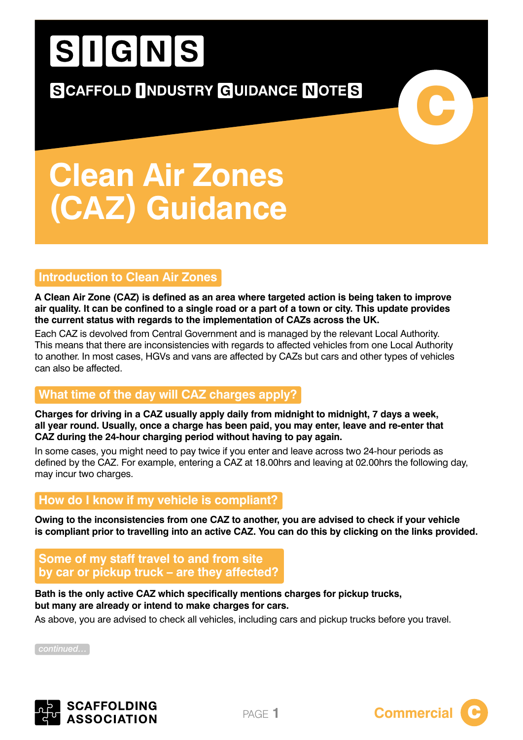# SIGNS

**SCAFFOLD INDUSTRY GUIDANCE NOTES** 

## **Clean Air Zones (CAZ) Guidance**

### **Introduction to Clean Air Zones**

**A Clean Air Zone (CAZ) is defined as an area where targeted action is being taken to improve air quality. It can be confined to a single road or a part of a town or city. This update provides the current status with regards to the implementation of CAZs across the UK.**

Each CAZ is devolved from Central Government and is managed by the relevant Local Authority. This means that there are inconsistencies with regards to affected vehicles from one Local Authority to another. In most cases, HGVs and vans are affected by CAZs but cars and other types of vehicles can also be affected.

### **What time of the day will CAZ charges apply?**

**Charges for driving in a CAZ usually apply daily from midnight to midnight, 7 days a week, all year round. Usually, once a charge has been paid, you may enter, leave and re-enter that CAZ during the 24-hour charging period without having to pay again.**

In some cases, you might need to pay twice if you enter and leave across two 24-hour periods as defined by the CAZ. For example, entering a CAZ at 18.00hrs and leaving at 02.00hrs the following day, may incur two charges.

### **How do I know if my vehicle is compliant?**

**Owing to the inconsistencies from one CAZ to another, you are advised to check if your vehicle is compliant prior to travelling into an active CAZ. You can do this by clicking on the links provided.**

**Some of my staff travel to and from site by car or pickup truck – are they affected?**

### **Bath is the only active CAZ which specifically mentions charges for pickup trucks, but many are already or intend to make charges for cars.**

As above, you are advised to check all vehicles, including cars and pickup trucks before you travel.

*continued…*





C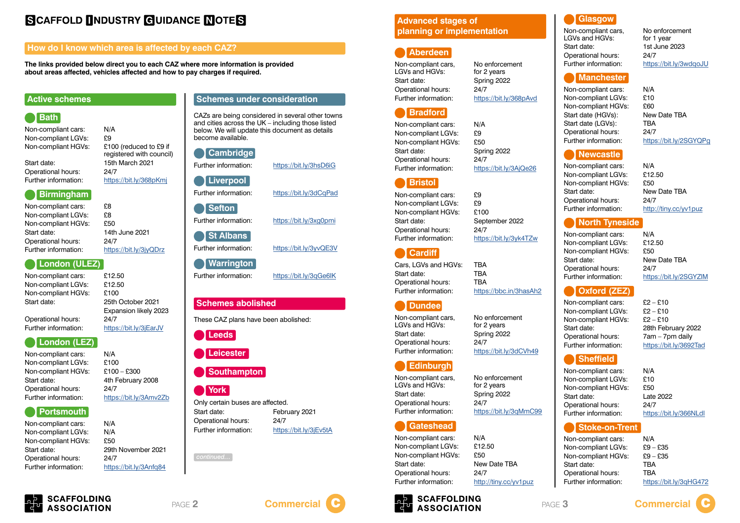### **Bath**

Non-compliant cars: N/A Non-compliant LGVs: £9 Non-compliant HGVs: £100 (reduced to £9 if

registered with council) Start date: 15th March 2021 Further information: <https://bit.ly/368pKmj>

Operational hours: 24/7

Non-compliant cars: £8 Non-compliant LGVs: £8 Non-compliant HGVs: £50 Start date: 14th June 2021 Operational hours: 24/7

**Birmingham**

Operational hours: 24/7 Further information: <https://bit.ly/3jEarJV>

Further information: <https://bit.ly/3jyQDrz>

### **London (ULEZ)**

Non-compliant cars: £12.50 Non-compliant LGVs: £12.50 Non-compliant HGVs: £100 Start date: 25th October 2021

Expansion likely 2023

### **London (LEZ)**

Non-compliant cars: N/A Non-compliant LGVs: £100 Non-compliant HGVs: £100 – £300 Start date: 4th February 2008 Operational hours: 24/7 Further information: <https://bit.ly/3Amv2Zb>

### **Portsmouth**

Non-compliant cars: N/A Non-compliant LGVs: N/A Non-compliant HGVs: £50 Start date: 29th November 2021 Operational hours: 24/7 Further information: <https://bit.ly/3Anfq84>

Non-compliant cars, No enforcement LGVs and HGVs: for 2 years Start date: Spring 2022 Operational hours: 24/7 Further information: <https://bit.ly/368pAvd>

**The links provided below direct you to each CAZ where more information is provided about areas affected, vehicles affected and how to pay charges if required.**



### **Active schemes**

Non-compliant cars: £9 Non-compliant LGVs: £9 Non-compliant HGVs: £100 Start date: September 2022 Operational hours: 24/7 Further information: <https://bit.ly/3yk4TZw>

These CAZ plans have been abolished:

**Leeds**

### **Leicester**

### **Southampton**

### **York**



LGVs and HGVs: for 2 years Start date: Spring 2022 Operational hours: 24/7

Non-compliant cars, No enforcement Further information: <https://bit.ly/3dCVh49>

Only certain buses are affected. Start date: February 2021 Operational hours: 24/7 Further information: <https://bit.ly/3jEv5tA>

Non-compliant cars, No enforcement LGVs and HGVs: for 2 years Start date: Spring 2022 Operational hours: 24/7

### CAZs are being considered in several other towns

and cities across the UK – including those listed below. We will update this document as details become available.

Non-compliant cars, No enforcement<br>LGVs and HGVs: for 1 year LGVs and HGVs: Start date: 1st June 2023 Operational hours: 24/7

## **Cambridge Liverpool Sefton St Albans Warrington**

Further information: <https://bit.ly/3hsD6iG> Further information: <https://bit.ly/3dCqPad> Further information: <https://bit.ly/3xg0pmi> Further information: <https://bit.ly/3yvQE3V> Further information: <https://bit.ly/3qGe6IK>



### **Aberdeen**

### **Bradford**

Non-compliant cars: N/A Non-compliant LGVs: £9 Non-compliant HGVs: £50 Start date: Spring 2022 Operational hours: 24/7 Further information: <https://bit.ly/3AjQe26>

Non-compliant cars: N/A Non-compliant LGVs: £9 – £35 Non-compliant HGVs: £9 – £35 Start date: TBA Operational hours: TBA Further information: <https://bit.ly/3qHG472>

### **Bristol**

### **Cardiff**

Cars, LGVs and HGVs: TBA Start date: TBA Operational hours: TBA Further information: <https://bbc.in/3hasAh2>

**Dundee**

### **Edinburgh**

Further information: <https://bit.ly/3qMmC99>

**Gateshead**

Non-compliant cars: N/A Non-compliant LGVs: £12.50 Non-compliant HGVs: £50 Start date: New Date TBA Operational hours: 24/7 Further information: <http://tiny.cc/yv1puz>



### **Schemes abolished**

**Schemes under consideration**

### **Glasgow**

Further information: <https://bit.ly/3wdqoJU>

### **Manchester**

Non-compliant cars: N/A Non-compliant LGVs: £10 Non-compliant HGVs: £60 Start date (HGVs): New Date TBA Start date (LGVs): TBA Operational hours: 24/7

Further information: <https://bit.ly/2SGYQPg>

### **Newcastle**

Non-compliant cars: N/A Non-compliant LGVs: £12.50 Non-compliant HGVs: £50 Start date: New Date TBA Operational hours: 24/7 Further information: <http://tiny.cc/yv1puz>

### **North Tyneside**

Non-compliant cars: N/A Non-compliant LGVs: £12.50 Non-compliant HGVs: £50 Start date: New Date TBA Operational hours: 24/7

Further information: <https://bit.ly/2SGYZlM>

### **Oxford (ZEZ)**

Non-compliant cars: £2 – £10 Non-compliant LGVs: £2 – £10 Non-compliant HGVs: £2 – £10 Start date: 28th February 2022 Operational hours: 7am – 7pm daily Further information: <https://bit.ly/3692Tad>

### **Sheffield**

Non-compliant cars: N/A Non-compliant LGVs: £10 Non-compliant HGVs: £50 Start date: Late 2022 Operational hours: 24/7 Further information: <https://bit.ly/366NLdl>

### **Stoke-on-Trent**

### **SCAFFOLD INDUSTRY GUIDANCE NOTES**

### **How do I know which area is affected by each CAZ?**

### **Advanced stages of planning or implementation**